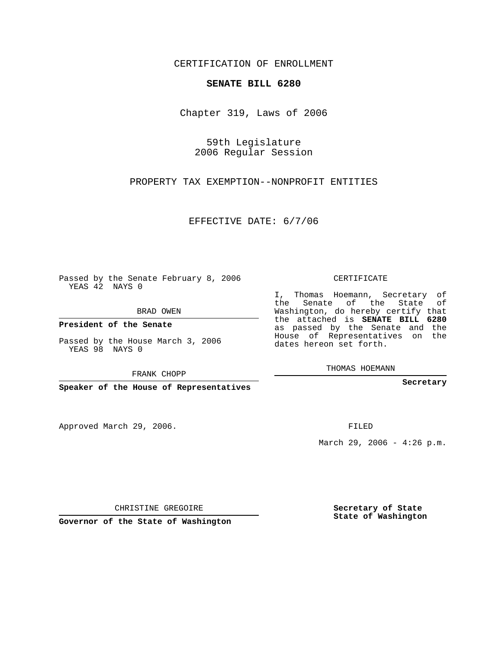CERTIFICATION OF ENROLLMENT

## **SENATE BILL 6280**

Chapter 319, Laws of 2006

59th Legislature 2006 Regular Session

PROPERTY TAX EXEMPTION--NONPROFIT ENTITIES

EFFECTIVE DATE: 6/7/06

Passed by the Senate February 8, 2006 YEAS 42 NAYS 0

BRAD OWEN

**President of the Senate**

Passed by the House March 3, 2006 YEAS 98 NAYS 0

FRANK CHOPP

**Speaker of the House of Representatives**

Approved March 29, 2006.

CERTIFICATE

I, Thomas Hoemann, Secretary of the Senate of the State of Washington, do hereby certify that the attached is **SENATE BILL 6280** as passed by the Senate and the House of Representatives on the dates hereon set forth.

THOMAS HOEMANN

**Secretary**

FILED

March 29, 2006 -  $4:26$  p.m.

CHRISTINE GREGOIRE

**Governor of the State of Washington**

**Secretary of State State of Washington**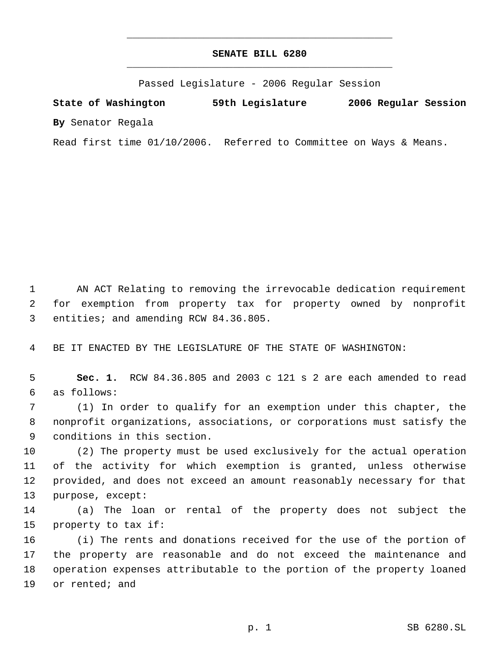## **SENATE BILL 6280** \_\_\_\_\_\_\_\_\_\_\_\_\_\_\_\_\_\_\_\_\_\_\_\_\_\_\_\_\_\_\_\_\_\_\_\_\_\_\_\_\_\_\_\_\_

\_\_\_\_\_\_\_\_\_\_\_\_\_\_\_\_\_\_\_\_\_\_\_\_\_\_\_\_\_\_\_\_\_\_\_\_\_\_\_\_\_\_\_\_\_

Passed Legislature - 2006 Regular Session

**State of Washington 59th Legislature 2006 Regular Session By** Senator Regala

Read first time 01/10/2006. Referred to Committee on Ways & Means.

 AN ACT Relating to removing the irrevocable dedication requirement for exemption from property tax for property owned by nonprofit entities; and amending RCW 84.36.805.

BE IT ENACTED BY THE LEGISLATURE OF THE STATE OF WASHINGTON:

 **Sec. 1.** RCW 84.36.805 and 2003 c 121 s 2 are each amended to read as follows:

 (1) In order to qualify for an exemption under this chapter, the nonprofit organizations, associations, or corporations must satisfy the conditions in this section.

 (2) The property must be used exclusively for the actual operation of the activity for which exemption is granted, unless otherwise provided, and does not exceed an amount reasonably necessary for that purpose, except:

 (a) The loan or rental of the property does not subject the property to tax if:

 (i) The rents and donations received for the use of the portion of the property are reasonable and do not exceed the maintenance and operation expenses attributable to the portion of the property loaned or rented; and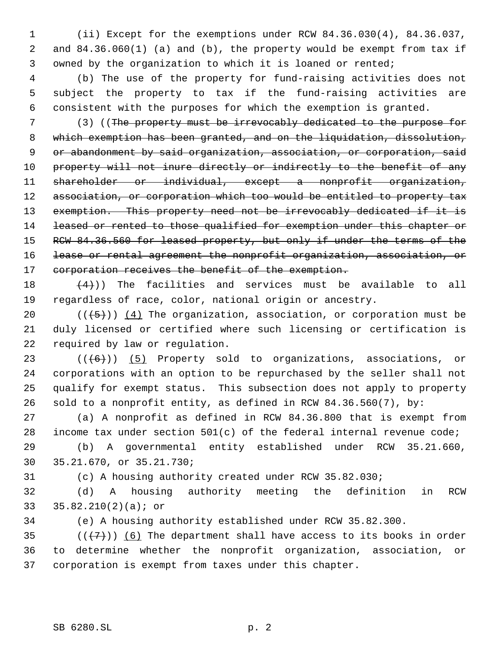(ii) Except for the exemptions under RCW 84.36.030(4), 84.36.037, and 84.36.060(1) (a) and (b), the property would be exempt from tax if owned by the organization to which it is loaned or rented;

 (b) The use of the property for fund-raising activities does not subject the property to tax if the fund-raising activities are consistent with the purposes for which the exemption is granted.

 (3) ((The property must be irrevocably dedicated to the purpose for which exemption has been granted, and on the liquidation, dissolution, or abandonment by said organization, association, or corporation, said 10 property will not inure directly or indirectly to the benefit of any shareholder or individual, except a nonprofit organization, 12 association, or corporation which too would be entitled to property tax 13 exemption. This property need not be irrevocably dedicated if it is 14 leased or rented to those qualified for exemption under this chapter or 15 RCW 84.36.560 for leased property, but only if under the terms of the lease or rental agreement the nonprofit organization, association, or 17 corporation receives the benefit of the exemption.

 $(4)$ )) The facilities and services must be available to all regardless of race, color, national origin or ancestry.

20  $((+5))$   $(4)$  The organization, association, or corporation must be duly licensed or certified where such licensing or certification is required by law or regulation.

 $((+6))$   $(5)$  Property sold to organizations, associations, or corporations with an option to be repurchased by the seller shall not qualify for exempt status. This subsection does not apply to property sold to a nonprofit entity, as defined in RCW 84.36.560(7), by:

 (a) A nonprofit as defined in RCW 84.36.800 that is exempt from income tax under section 501(c) of the federal internal revenue code;

 (b) A governmental entity established under RCW 35.21.660, 35.21.670, or 35.21.730;

(c) A housing authority created under RCW 35.82.030;

 (d) A housing authority meeting the definition in RCW 35.82.210(2)(a); or

(e) A housing authority established under RCW 35.82.300.

35  $((+7))$  (6) The department shall have access to its books in order to determine whether the nonprofit organization, association, or corporation is exempt from taxes under this chapter.